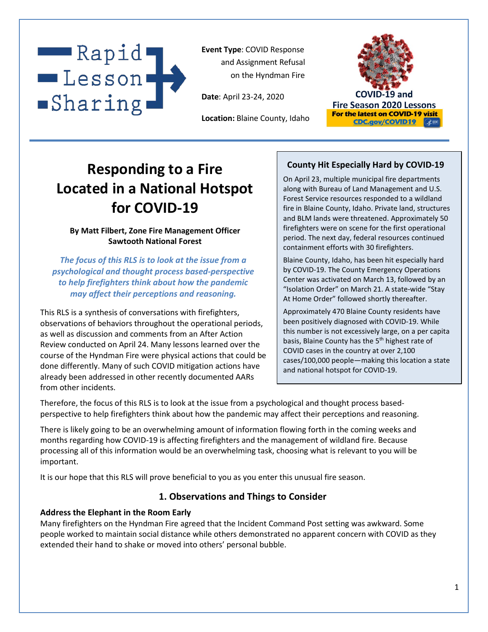

**Event Type**: COVID Response and Assignment Refusal on the Hyndman Fire

**Date**: April 23-24, 2020

**Location:** Blaine County, Idaho



# **Responding to a Fire Located in a National Hotspot for COVID-19**

### **By Matt Filbert, Zone Fire Management Officer Sawtooth National Forest**

*The focus of this RLS is to look at the issue from a psychological and thought process based-perspective to help firefighters think about how the pandemic may affect their perceptions and reasoning.*

This RLS is a synthesis of conversations with firefighters, observations of behaviors throughout the operational periods, as well as discussion and comments from an After Action Review conducted on April 24. Many lessons learned over the course of the Hyndman Fire were physical actions that could be done differently. Many of such COVID mitigation actions have already been addressed in other recently documented AARs from other incidents.

# **County Hit Especially Hard by COVID-19**

On April 23, multiple municipal fire departments along with Bureau of Land Management and U.S. Forest Service resources responded to a wildland fire in Blaine County, Idaho. Private land, structures and BLM lands were threatened. Approximately 50 firefighters were on scene for the first operational period. The next day, federal resources continued containment efforts with 30 firefighters.

Blaine County, Idaho, has been hit especially hard by COVID-19. The County Emergency Operations Center was activated on March 13, followed by an "Isolation Order" on March 21. A state-wide "Stay At Home Order" followed shortly thereafter.

Approximately 470 Blaine County residents have been positively diagnosed with COVID-19. While this number is not excessively large, on a per capita basis, Blaine County has the 5<sup>th</sup> highest rate of COVID cases in the country at over 2,100 cases/100,000 people—making this location a state and national hotspot for COVID-19.

Therefore, the focus of this RLS is to look at the issue from a psychological and thought process basedperspective to help firefighters think about how the pandemic may affect their perceptions and reasoning.

There is likely going to be an overwhelming amount of information flowing forth in the coming weeks and months regarding how COVID-19 is affecting firefighters and the management of wildland fire. Because processing all of this information would be an overwhelming task, choosing what is relevant to you will be important.

It is our hope that this RLS will prove beneficial to you as you enter this unusual fire season.

# **1. Observations and Things to Consider**

#### **Address the Elephant in the Room Early**

Many firefighters on the Hyndman Fire agreed that the Incident Command Post setting was awkward. Some people worked to maintain social distance while others demonstrated no apparent concern with COVID as they extended their hand to shake or moved into others' personal bubble.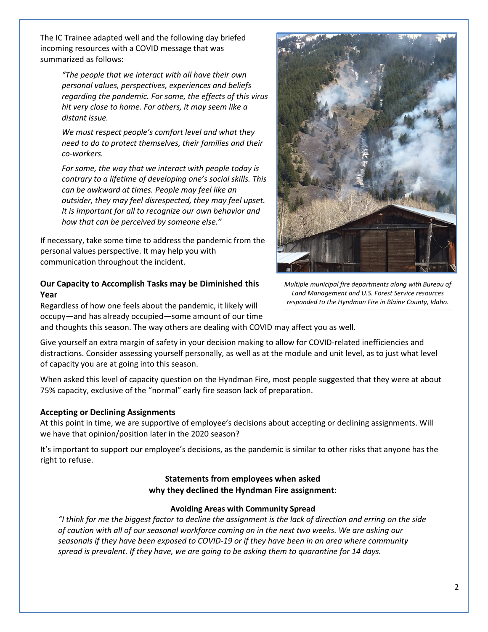The IC Trainee adapted well and the following day briefed incoming resources with a COVID message that was summarized as follows:

> *"The people that we interact with all have their own personal values, perspectives, experiences and beliefs regarding the pandemic. For some, the effects of this virus hit very close to home. For others, it may seem like a distant issue.*

*We must respect people's comfort level and what they need to do to protect themselves, their families and their co-workers.*

*For some, the way that we interact with people today is contrary to a lifetime of developing one's social skills. This can be awkward at times. People may feel like an outsider, they may feel disrespected, they may feel upset. It is important for all to recognize our own behavior and how that can be perceived by someone else."*

If necessary, take some time to address the pandemic from the personal values perspective. It may help you with communication throughout the incident.

### **Our Capacity to Accomplish Tasks may be Diminished this Year**

Regardless of how one feels about the pandemic, it likely will occupy—and has already occupied—some amount of our time



Give yourself an extra margin of safety in your decision making to allow for COVID-related inefficiencies and distractions. Consider assessing yourself personally, as well as at the module and unit level, as to just what level of capacity you are at going into this season.

When asked this level of capacity question on the Hyndman Fire, most people suggested that they were at about 75% capacity, exclusive of the "normal" early fire season lack of preparation.

## **Accepting or Declining Assignments**

At this point in time, we are supportive of employee's decisions about accepting or declining assignments. Will we have that opinion/position later in the 2020 season?

It's important to support our employee's decisions, as the pandemic is similar to other risks that anyone has the right to refuse.

## **Statements from employees when asked why they declined the Hyndman Fire assignment:**

#### **Avoiding Areas with Community Spread**

*"I think for me the biggest factor to decline the assignment is the lack of direction and erring on the side of caution with all of our seasonal workforce coming on in the next two weeks. We are asking our seasonals if they have been exposed to COVID-19 or if they have been in an area where community spread is prevalent. If they have, we are going to be asking them to quarantine for 14 days.*



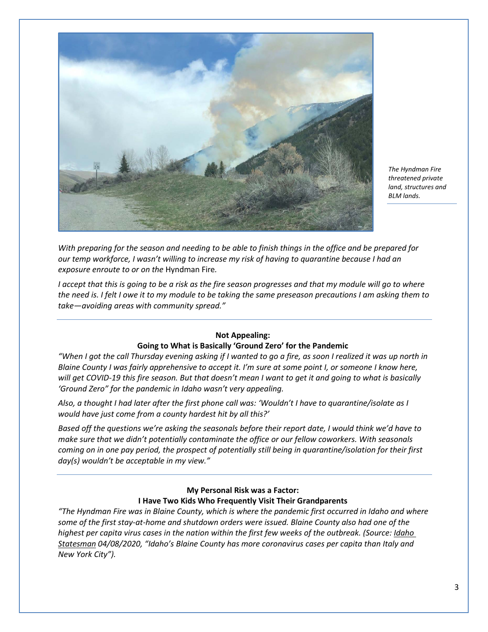

*The Hyndman Fire threatened private land, structures and BLM lands.*

*With preparing for the season and needing to be able to finish things in the office and be prepared for our temp workforce, I wasn't willing to increase my risk of having to quarantine because I had an exposure enroute to or on the* Hyndman Fire*.*

*I accept that this is going to be a risk as the fire season progresses and that my module will go to where the need is. I felt I owe it to my module to be taking the same preseason precautions I am asking them to take—avoiding areas with community spread."*

#### **Not Appealing: Going to What is Basically 'Ground Zero' for the Pandemic**

*"When I got the call Thursday evening asking if I wanted to go a fire, as soon I realized it was up north in Blaine County I was fairly apprehensive to accept it. I'm sure at some point I, or someone I know here, will get COVID-19 this fire season. But that doesn't mean I want to get it and going to what is basically 'Ground Zero" for the pandemic in Idaho wasn't very appealing.*

*Also, a thought I had later after the first phone call was: 'Wouldn't I have to quarantine/isolate as I would have just come from a county hardest hit by all this?'*

*Based off the questions we're asking the seasonals before their report date, I would think we'd have to make sure that we didn't potentially contaminate the office or our fellow coworkers. With seasonals coming on in one pay period, the prospect of potentially still being in quarantine/isolation for their first day(s) wouldn't be acceptable in my view."*

#### **My Personal Risk was a Factor: I Have Two Kids Who Frequently Visit Their Grandparents**

*"The Hyndman Fire was in Blaine County, which is where the pandemic first occurred in Idaho and where some of the first stay-at-home and shutdown orders were issued. Blaine County also had one of the highest per capita virus cases in the nation within the first few weeks of the outbreak. (Source: Idaho Statesman 04/08/2020, "Idaho's Blaine County has more coronavirus cases per capita than Italy and New York City").*